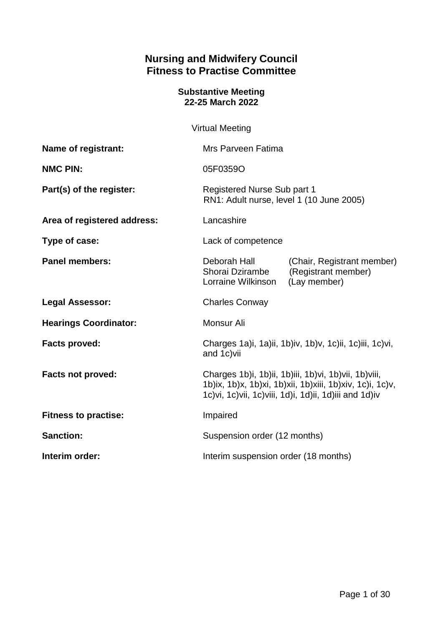# **Nursing and Midwifery Council Fitness to Practise Committee**

#### **Substantive Meeting 22-25 March 2022**

Virtual Meeting

| Name of registrant:          | Mrs Parveen Fatima                                                                                                                                                               |                                                                   |
|------------------------------|----------------------------------------------------------------------------------------------------------------------------------------------------------------------------------|-------------------------------------------------------------------|
| <b>NMC PIN:</b>              | 05F0359O                                                                                                                                                                         |                                                                   |
| Part(s) of the register:     | Registered Nurse Sub part 1<br>RN1: Adult nurse, level 1 (10 June 2005)                                                                                                          |                                                                   |
| Area of registered address:  | Lancashire                                                                                                                                                                       |                                                                   |
| Type of case:                | Lack of competence                                                                                                                                                               |                                                                   |
| <b>Panel members:</b>        | Deborah Hall<br>Shorai Dzirambe<br>Lorraine Wilkinson                                                                                                                            | (Chair, Registrant member)<br>(Registrant member)<br>(Lay member) |
| <b>Legal Assessor:</b>       | <b>Charles Conway</b>                                                                                                                                                            |                                                                   |
| <b>Hearings Coordinator:</b> | Monsur Ali                                                                                                                                                                       |                                                                   |
| <b>Facts proved:</b>         | Charges 1a)i, 1a)ii, 1b)iv, 1b)v, 1c)ii, 1c)iii, 1c)vi,<br>and 1c) vii                                                                                                           |                                                                   |
| Facts not proved:            | Charges 1b)i, 1b)ii, 1b)iii, 1b)vi, 1b)vii, 1b)viii,<br>1b)ix, 1b)x, 1b)xi, 1b)xii, 1b)xiii, 1b)xiv, 1c)i, 1c)v,<br>1c) vi, 1c) vii, 1c) viii, 1d) i, 1d) ii, 1d) iii and 1d) iv |                                                                   |
| <b>Fitness to practise:</b>  | Impaired                                                                                                                                                                         |                                                                   |
| <b>Sanction:</b>             | Suspension order (12 months)                                                                                                                                                     |                                                                   |
| Interim order:               | Interim suspension order (18 months)                                                                                                                                             |                                                                   |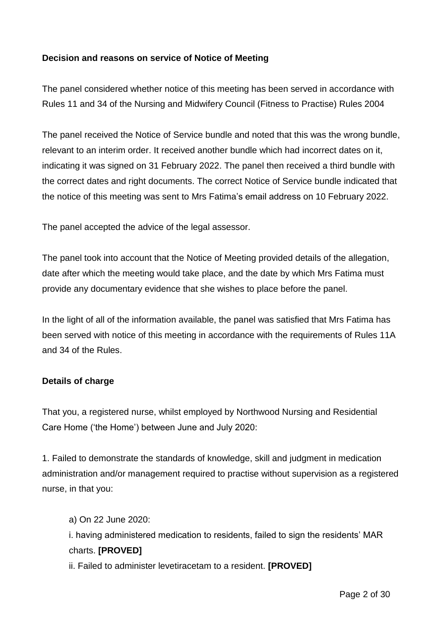#### **Decision and reasons on service of Notice of Meeting**

The panel considered whether notice of this meeting has been served in accordance with Rules 11 and 34 of the Nursing and Midwifery Council (Fitness to Practise) Rules 2004

The panel received the Notice of Service bundle and noted that this was the wrong bundle, relevant to an interim order. It received another bundle which had incorrect dates on it, indicating it was signed on 31 February 2022. The panel then received a third bundle with the correct dates and right documents. The correct Notice of Service bundle indicated that the notice of this meeting was sent to Mrs Fatima's email address on 10 February 2022.

The panel accepted the advice of the legal assessor.

The panel took into account that the Notice of Meeting provided details of the allegation, date after which the meeting would take place, and the date by which Mrs Fatima must provide any documentary evidence that she wishes to place before the panel.

In the light of all of the information available, the panel was satisfied that Mrs Fatima has been served with notice of this meeting in accordance with the requirements of Rules 11A and 34 of the Rules.

#### **Details of charge**

That you, a registered nurse, whilst employed by Northwood Nursing and Residential Care Home ('the Home') between June and July 2020:

1. Failed to demonstrate the standards of knowledge, skill and judgment in medication administration and/or management required to practise without supervision as a registered nurse, in that you:

a) On 22 June 2020: i. having administered medication to residents, failed to sign the residents' MAR charts. **[PROVED]**

ii. Failed to administer levetiracetam to a resident. **[PROVED]**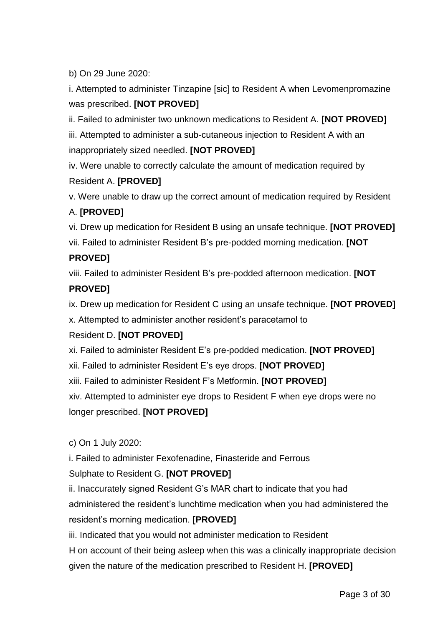b) On 29 June 2020:

i. Attempted to administer Tinzapine [sic] to Resident A when Levomenpromazine was prescribed. **[NOT PROVED]**

ii. Failed to administer two unknown medications to Resident A. **[NOT PROVED]** iii. Attempted to administer a sub-cutaneous injection to Resident A with an

inappropriately sized needled. **[NOT PROVED]**

iv. Were unable to correctly calculate the amount of medication required by Resident A. **[PROVED]** 

v. Were unable to draw up the correct amount of medication required by Resident

## A. **[PROVED]**

vi. Drew up medication for Resident B using an unsafe technique. **[NOT PROVED]**

vii. Failed to administer Resident B's pre-podded morning medication. **[NOT** 

## **PROVED]**

viii. Failed to administer Resident B's pre-podded afternoon medication. **[NOT** 

# **PROVED]**

ix. Drew up medication for Resident C using an unsafe technique. **[NOT PROVED]**

x. Attempted to administer another resident's paracetamol to

## Resident D. **[NOT PROVED]**

xi. Failed to administer Resident E's pre-podded medication. **[NOT PROVED]**

xii. Failed to administer Resident E's eye drops. **[NOT PROVED]**

xiii. Failed to administer Resident F's Metformin. **[NOT PROVED]**

xiv. Attempted to administer eye drops to Resident F when eye drops were no longer prescribed. **[NOT PROVED]**

c) On 1 July 2020:

i. Failed to administer Fexofenadine, Finasteride and Ferrous

# Sulphate to Resident G. **[NOT PROVED]**

ii. Inaccurately signed Resident G's MAR chart to indicate that you had

administered the resident's lunchtime medication when you had administered the resident's morning medication. **[PROVED]**

iii. Indicated that you would not administer medication to Resident

H on account of their being asleep when this was a clinically inappropriate decision given the nature of the medication prescribed to Resident H. **[PROVED]**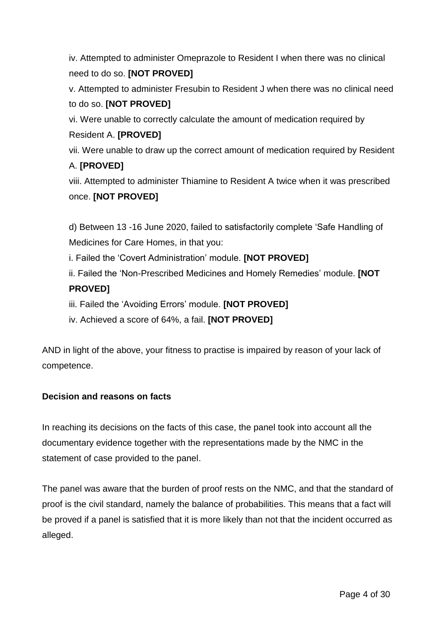iv. Attempted to administer Omeprazole to Resident I when there was no clinical need to do so. **[NOT PROVED]**

v. Attempted to administer Fresubin to Resident J when there was no clinical need to do so. **[NOT PROVED]**

vi. Were unable to correctly calculate the amount of medication required by Resident A. **[PROVED]**

vii. Were unable to draw up the correct amount of medication required by Resident A. **[PROVED]**

viii. Attempted to administer Thiamine to Resident A twice when it was prescribed once. **[NOT PROVED]**

d) Between 13 -16 June 2020, failed to satisfactorily complete 'Safe Handling of Medicines for Care Homes, in that you:

i. Failed the 'Covert Administration' module. **[NOT PROVED]**

ii. Failed the 'Non-Prescribed Medicines and Homely Remedies' module. **[NOT PROVED]**

iii. Failed the 'Avoiding Errors' module. **[NOT PROVED]**

iv. Achieved a score of 64%, a fail. **[NOT PROVED]**

AND in light of the above, your fitness to practise is impaired by reason of your lack of competence.

# **Decision and reasons on facts**

In reaching its decisions on the facts of this case, the panel took into account all the documentary evidence together with the representations made by the NMC in the statement of case provided to the panel.

The panel was aware that the burden of proof rests on the NMC, and that the standard of proof is the civil standard, namely the balance of probabilities. This means that a fact will be proved if a panel is satisfied that it is more likely than not that the incident occurred as alleged.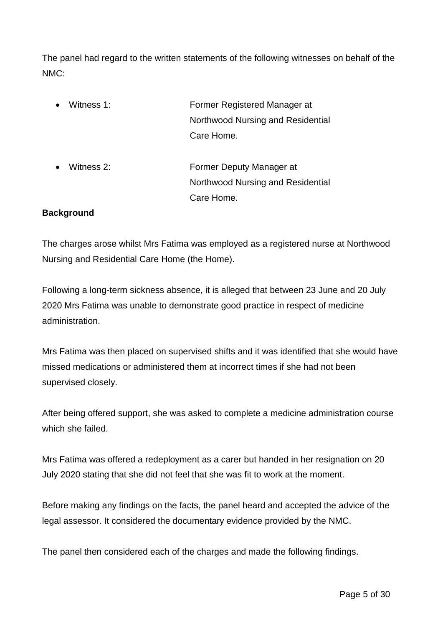The panel had regard to the written statements of the following witnesses on behalf of the NMC:

- Witness 1: Former Registered Manager at Northwood Nursing and Residential Care Home.
- Witness 2: Former Deputy Manager at Northwood Nursing and Residential Care Home.

#### **Background**

The charges arose whilst Mrs Fatima was employed as a registered nurse at Northwood Nursing and Residential Care Home (the Home).

Following a long-term sickness absence, it is alleged that between 23 June and 20 July 2020 Mrs Fatima was unable to demonstrate good practice in respect of medicine administration.

Mrs Fatima was then placed on supervised shifts and it was identified that she would have missed medications or administered them at incorrect times if she had not been supervised closely.

After being offered support, she was asked to complete a medicine administration course which she failed.

Mrs Fatima was offered a redeployment as a carer but handed in her resignation on 20 July 2020 stating that she did not feel that she was fit to work at the moment.

Before making any findings on the facts, the panel heard and accepted the advice of the legal assessor. It considered the documentary evidence provided by the NMC.

The panel then considered each of the charges and made the following findings.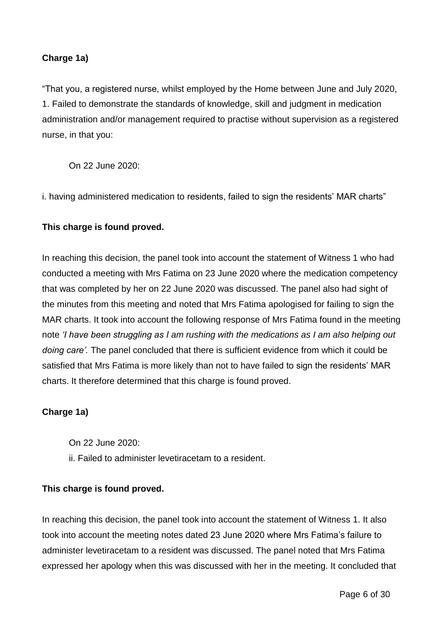## **Charge 1a)**

"That you, a registered nurse, whilst employed by the Home between June and July 2020, 1. Failed to demonstrate the standards of knowledge, skill and judgment in medication administration and/or management required to practise without supervision as a registered nurse, in that you:

On 22 June 2020:

i. having administered medication to residents, failed to sign the residents' MAR charts"

## **This charge is found proved.**

In reaching this decision, the panel took into account the statement of Witness 1 who had conducted a meeting with Mrs Fatima on 23 June 2020 where the medication competency that was completed by her on 22 June 2020 was discussed. The panel also had sight of the minutes from this meeting and noted that Mrs Fatima apologised for failing to sign the MAR charts. It took into account the following response of Mrs Fatima found in the meeting note *'I have been struggling as I am rushing with the medications as I am also helping out doing care'.* The panel concluded that there is sufficient evidence from which it could be satisfied that Mrs Fatima is more likely than not to have failed to sign the residents' MAR charts. It therefore determined that this charge is found proved.

## **Charge 1a)**

On 22 June 2020: ii. Failed to administer levetiracetam to a resident.

## **This charge is found proved.**

In reaching this decision, the panel took into account the statement of Witness 1. It also took into account the meeting notes dated 23 June 2020 where Mrs Fatima's failure to administer levetiracetam to a resident was discussed. The panel noted that Mrs Fatima expressed her apology when this was discussed with her in the meeting. It concluded that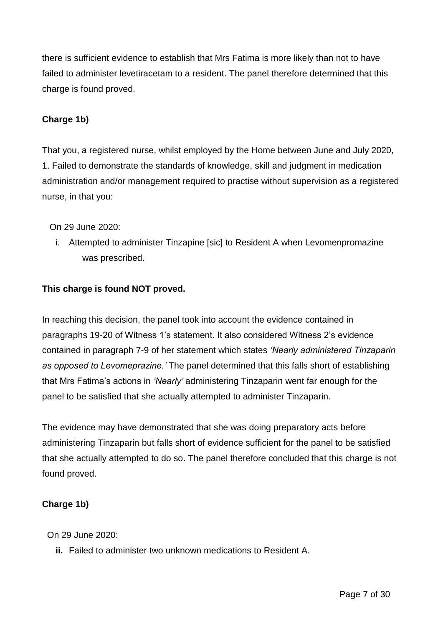there is sufficient evidence to establish that Mrs Fatima is more likely than not to have failed to administer levetiracetam to a resident. The panel therefore determined that this charge is found proved.

## **Charge 1b)**

That you, a registered nurse, whilst employed by the Home between June and July 2020, 1. Failed to demonstrate the standards of knowledge, skill and judgment in medication administration and/or management required to practise without supervision as a registered nurse, in that you:

On 29 June 2020:

i. Attempted to administer Tinzapine [sic] to Resident A when Levomenpromazine was prescribed.

## **This charge is found NOT proved.**

In reaching this decision, the panel took into account the evidence contained in paragraphs 19-20 of Witness 1's statement. It also considered Witness 2's evidence contained in paragraph 7-9 of her statement which states *'Nearly administered Tinzaparin as opposed to Levomeprazine.'* The panel determined that this falls short of establishing that Mrs Fatima's actions in *'Nearly'* administering Tinzaparin went far enough for the panel to be satisfied that she actually attempted to administer Tinzaparin.

The evidence may have demonstrated that she was doing preparatory acts before administering Tinzaparin but falls short of evidence sufficient for the panel to be satisfied that she actually attempted to do so. The panel therefore concluded that this charge is not found proved.

## **Charge 1b)**

On 29 June 2020:

**ii.** Failed to administer two unknown medications to Resident A.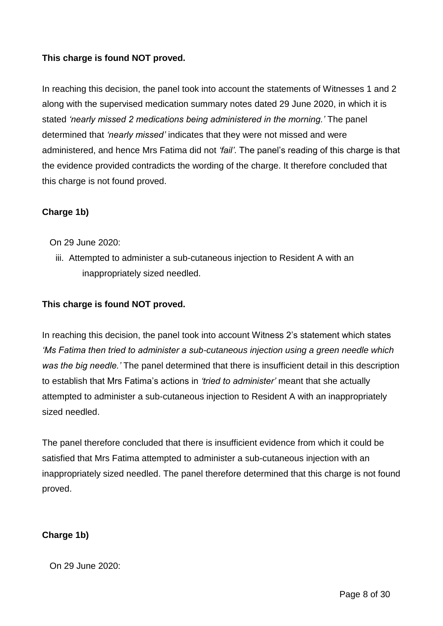## **This charge is found NOT proved.**

In reaching this decision, the panel took into account the statements of Witnesses 1 and 2 along with the supervised medication summary notes dated 29 June 2020, in which it is stated *'nearly missed 2 medications being administered in the morning.'* The panel determined that *'nearly missed'* indicates that they were not missed and were administered, and hence Mrs Fatima did not *'fail'*. The panel's reading of this charge is that the evidence provided contradicts the wording of the charge. It therefore concluded that this charge is not found proved.

#### **Charge 1b)**

- On 29 June 2020:
	- iii. Attempted to administer a sub-cutaneous injection to Resident A with an inappropriately sized needled.

#### **This charge is found NOT proved.**

In reaching this decision, the panel took into account Witness 2's statement which states *'Ms Fatima then tried to administer a sub-cutaneous injection using a green needle which was the big needle.'* The panel determined that there is insufficient detail in this description to establish that Mrs Fatima's actions in *'tried to administer'* meant that she actually attempted to administer a sub-cutaneous injection to Resident A with an inappropriately sized needled.

The panel therefore concluded that there is insufficient evidence from which it could be satisfied that Mrs Fatima attempted to administer a sub-cutaneous injection with an inappropriately sized needled. The panel therefore determined that this charge is not found proved.

#### **Charge 1b)**

On 29 June 2020: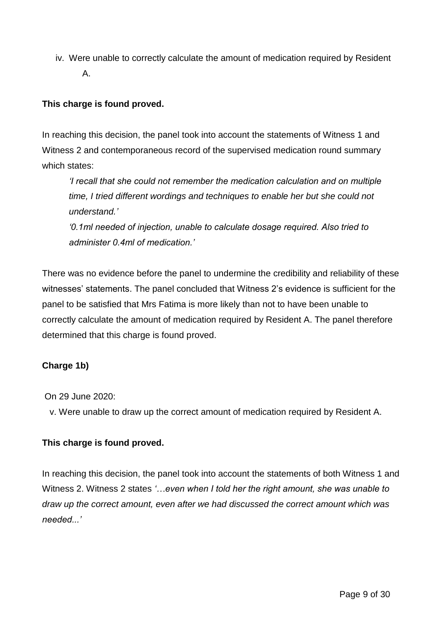iv. Were unable to correctly calculate the amount of medication required by Resident A.

## **This charge is found proved.**

In reaching this decision, the panel took into account the statements of Witness 1 and Witness 2 and contemporaneous record of the supervised medication round summary which states:

*'I recall that she could not remember the medication calculation and on multiple time, I tried different wordings and techniques to enable her but she could not understand.'*

*'0.1ml needed of injection, unable to calculate dosage required. Also tried to administer 0.4ml of medication.'* 

There was no evidence before the panel to undermine the credibility and reliability of these witnesses' statements. The panel concluded that Witness 2's evidence is sufficient for the panel to be satisfied that Mrs Fatima is more likely than not to have been unable to correctly calculate the amount of medication required by Resident A. The panel therefore determined that this charge is found proved.

## **Charge 1b)**

On 29 June 2020:

v. Were unable to draw up the correct amount of medication required by Resident A.

## **This charge is found proved.**

In reaching this decision, the panel took into account the statements of both Witness 1 and Witness 2. Witness 2 states *'…even when I told her the right amount, she was unable to draw up the correct amount, even after we had discussed the correct amount which was needed...'*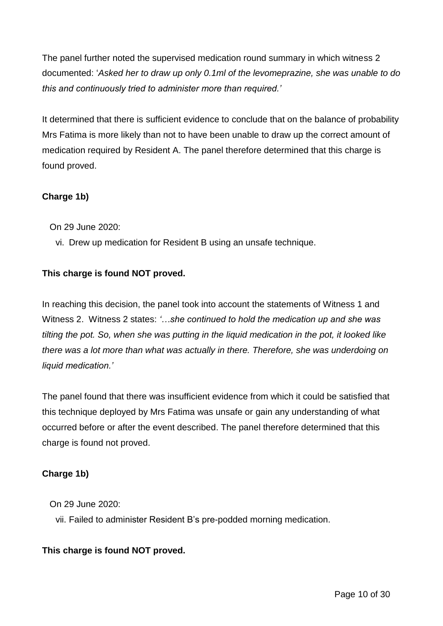The panel further noted the supervised medication round summary in which witness 2 documented: '*Asked her to draw up only 0.1ml of the levomeprazine, she was unable to do this and continuously tried to administer more than required.'*

It determined that there is sufficient evidence to conclude that on the balance of probability Mrs Fatima is more likely than not to have been unable to draw up the correct amount of medication required by Resident A. The panel therefore determined that this charge is found proved.

# **Charge 1b)**

On 29 June 2020:

vi. Drew up medication for Resident B using an unsafe technique.

# **This charge is found NOT proved.**

In reaching this decision, the panel took into account the statements of Witness 1 and Witness 2. Witness 2 states: *'…she continued to hold the medication up and she was tilting the pot. So, when she was putting in the liquid medication in the pot, it looked like there was a lot more than what was actually in there. Therefore, she was underdoing on liquid medication.'*

The panel found that there was insufficient evidence from which it could be satisfied that this technique deployed by Mrs Fatima was unsafe or gain any understanding of what occurred before or after the event described. The panel therefore determined that this charge is found not proved.

## **Charge 1b)**

On 29 June 2020:

vii. Failed to administer Resident B's pre-podded morning medication.

## **This charge is found NOT proved.**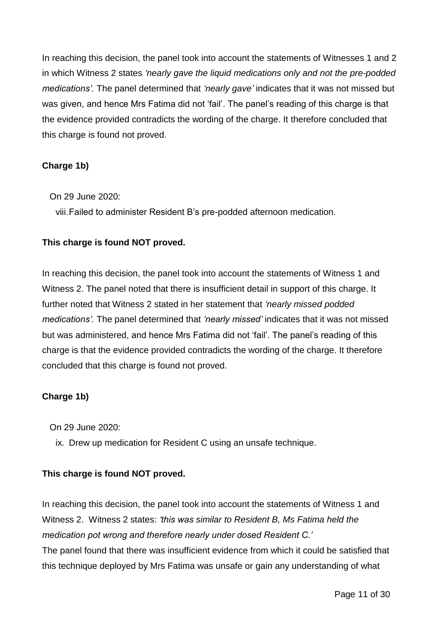In reaching this decision, the panel took into account the statements of Witnesses 1 and 2 in which Witness 2 states *'nearly gave the liquid medications only and not the pre-podded medications'.* The panel determined that *'nearly gave'* indicates that it was not missed but was given, and hence Mrs Fatima did not 'fail'. The panel's reading of this charge is that the evidence provided contradicts the wording of the charge. It therefore concluded that this charge is found not proved.

## **Charge 1b)**

On 29 June 2020:

viii.Failed to administer Resident B's pre-podded afternoon medication.

## **This charge is found NOT proved.**

In reaching this decision, the panel took into account the statements of Witness 1 and Witness 2. The panel noted that there is insufficient detail in support of this charge. It further noted that Witness 2 stated in her statement that *'nearly missed podded medications'.* The panel determined that *'nearly missed'* indicates that it was not missed but was administered, and hence Mrs Fatima did not 'fail'. The panel's reading of this charge is that the evidence provided contradicts the wording of the charge. It therefore concluded that this charge is found not proved.

## **Charge 1b)**

On 29 June 2020:

ix. Drew up medication for Resident C using an unsafe technique.

## **This charge is found NOT proved.**

In reaching this decision, the panel took into account the statements of Witness 1 and Witness 2. Witness 2 states: *'this was similar to Resident B, Ms Fatima held the medication pot wrong and therefore nearly under dosed Resident C.'*  The panel found that there was insufficient evidence from which it could be satisfied that this technique deployed by Mrs Fatima was unsafe or gain any understanding of what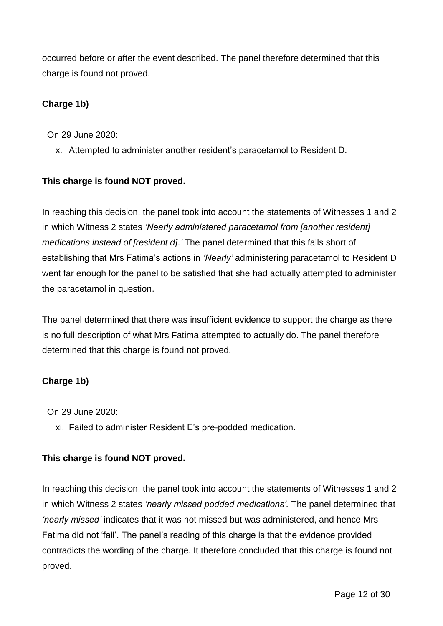occurred before or after the event described. The panel therefore determined that this charge is found not proved.

## **Charge 1b)**

On 29 June 2020:

x. Attempted to administer another resident's paracetamol to Resident D.

# **This charge is found NOT proved.**

In reaching this decision, the panel took into account the statements of Witnesses 1 and 2 in which Witness 2 states *'Nearly administered paracetamol from [another resident] medications instead of [resident d].'* The panel determined that this falls short of establishing that Mrs Fatima's actions in *'Nearly'* administering paracetamol to Resident D went far enough for the panel to be satisfied that she had actually attempted to administer the paracetamol in question.

The panel determined that there was insufficient evidence to support the charge as there is no full description of what Mrs Fatima attempted to actually do. The panel therefore determined that this charge is found not proved.

## **Charge 1b)**

On 29 June 2020:

xi. Failed to administer Resident E's pre-podded medication.

# **This charge is found NOT proved.**

In reaching this decision, the panel took into account the statements of Witnesses 1 and 2 in which Witness 2 states *'nearly missed podded medications'.* The panel determined that *'nearly missed'* indicates that it was not missed but was administered, and hence Mrs Fatima did not 'fail'. The panel's reading of this charge is that the evidence provided contradicts the wording of the charge. It therefore concluded that this charge is found not proved.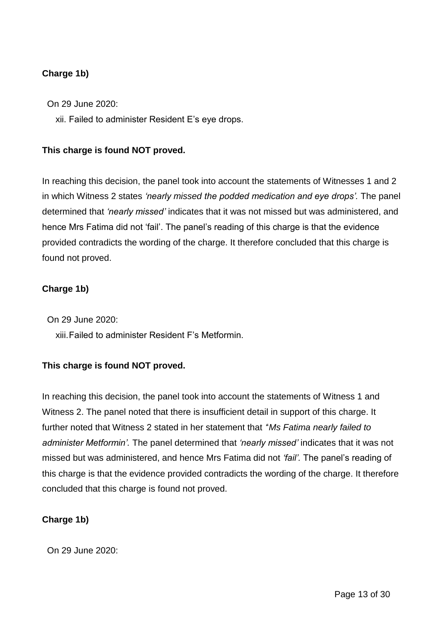## **Charge 1b)**

On 29 June 2020:

xii. Failed to administer Resident E's eye drops.

#### **This charge is found NOT proved.**

In reaching this decision, the panel took into account the statements of Witnesses 1 and 2 in which Witness 2 states *'nearly missed the podded medication and eye drops'.* The panel determined that *'nearly missed'* indicates that it was not missed but was administered, and hence Mrs Fatima did not 'fail'. The panel's reading of this charge is that the evidence provided contradicts the wording of the charge. It therefore concluded that this charge is found not proved.

#### **Charge 1b)**

On 29 June 2020:

xiii.Failed to administer Resident F's Metformin.

## **This charge is found NOT proved.**

In reaching this decision, the panel took into account the statements of Witness 1 and Witness 2. The panel noted that there is insufficient detail in support of this charge. It further noted that Witness 2 stated in her statement that *'*'*Ms Fatima nearly failed to administer Metformin'.* The panel determined that *'nearly missed'* indicates that it was not missed but was administered, and hence Mrs Fatima did not *'fail'.* The panel's reading of this charge is that the evidence provided contradicts the wording of the charge. It therefore concluded that this charge is found not proved.

## **Charge 1b)**

On 29 June 2020: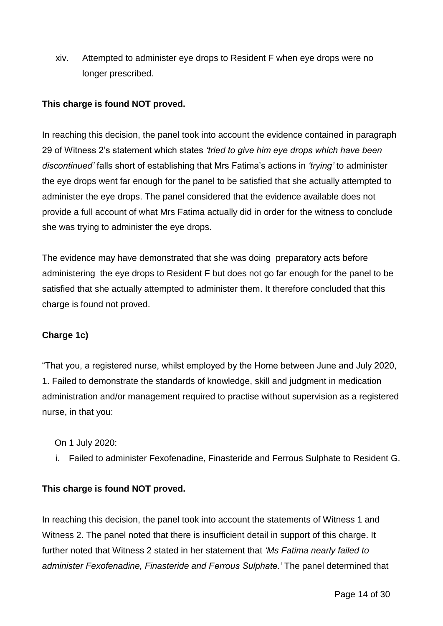xiv. Attempted to administer eye drops to Resident F when eye drops were no longer prescribed.

## **This charge is found NOT proved.**

In reaching this decision, the panel took into account the evidence contained in paragraph 29 of Witness 2's statement which states *'tried to give him eye drops which have been discontinued'* falls short of establishing that Mrs Fatima's actions in *'trying'* to administer the eye drops went far enough for the panel to be satisfied that she actually attempted to administer the eye drops. The panel considered that the evidence available does not provide a full account of what Mrs Fatima actually did in order for the witness to conclude she was trying to administer the eye drops.

The evidence may have demonstrated that she was doing preparatory acts before administering the eye drops to Resident F but does not go far enough for the panel to be satisfied that she actually attempted to administer them. It therefore concluded that this charge is found not proved.

## **Charge 1c)**

"That you, a registered nurse, whilst employed by the Home between June and July 2020, 1. Failed to demonstrate the standards of knowledge, skill and judgment in medication administration and/or management required to practise without supervision as a registered nurse, in that you:

On 1 July 2020:

i. Failed to administer Fexofenadine, Finasteride and Ferrous Sulphate to Resident G.

## **This charge is found NOT proved.**

In reaching this decision, the panel took into account the statements of Witness 1 and Witness 2. The panel noted that there is insufficient detail in support of this charge. It further noted that Witness 2 stated in her statement that *'Ms Fatima nearly failed to administer Fexofenadine, Finasteride and Ferrous Sulphate.'* The panel determined that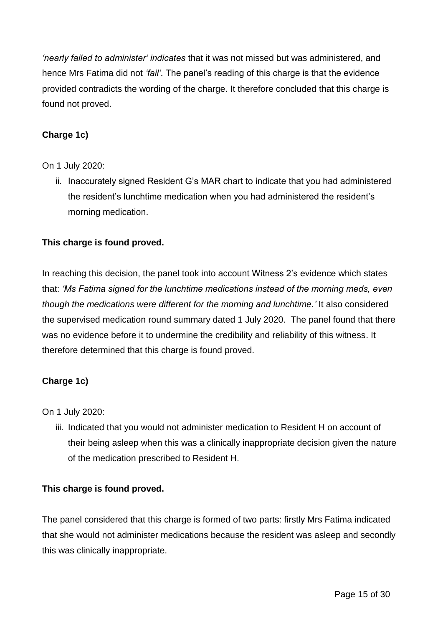*'nearly failed to administer' indicates* that it was not missed but was administered, and hence Mrs Fatima did not *'fail'*. The panel's reading of this charge is that the evidence provided contradicts the wording of the charge. It therefore concluded that this charge is found not proved.

## **Charge 1c)**

## On 1 July 2020:

ii. Inaccurately signed Resident G's MAR chart to indicate that you had administered the resident's lunchtime medication when you had administered the resident's morning medication.

## **This charge is found proved.**

In reaching this decision, the panel took into account Witness 2's evidence which states that: *'Ms Fatima signed for the lunchtime medications instead of the morning meds, even though the medications were different for the morning and lunchtime.'* It also considered the supervised medication round summary dated 1 July 2020. The panel found that there was no evidence before it to undermine the credibility and reliability of this witness. It therefore determined that this charge is found proved.

## **Charge 1c)**

On 1 July 2020:

iii. Indicated that you would not administer medication to Resident H on account of their being asleep when this was a clinically inappropriate decision given the nature of the medication prescribed to Resident H.

## **This charge is found proved.**

The panel considered that this charge is formed of two parts: firstly Mrs Fatima indicated that she would not administer medications because the resident was asleep and secondly this was clinically inappropriate.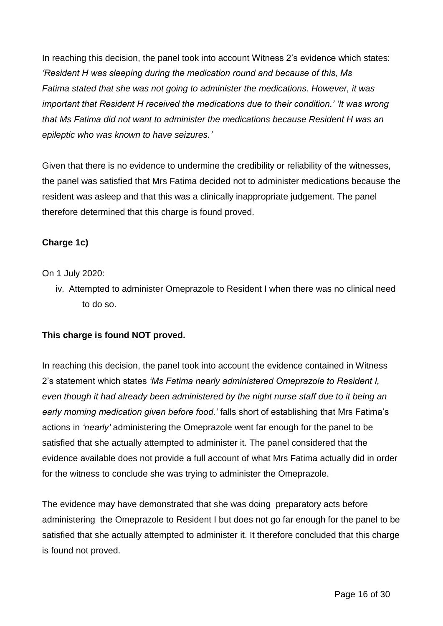In reaching this decision, the panel took into account Witness 2's evidence which states: *'Resident H was sleeping during the medication round and because of this, Ms Fatima stated that she was not going to administer the medications. However, it was important that Resident H received the medications due to their condition.' 'It was wrong that Ms Fatima did not want to administer the medications because Resident H was an epileptic who was known to have seizures.'*

Given that there is no evidence to undermine the credibility or reliability of the witnesses, the panel was satisfied that Mrs Fatima decided not to administer medications because the resident was asleep and that this was a clinically inappropriate judgement. The panel therefore determined that this charge is found proved.

# **Charge 1c)**

#### On 1 July 2020:

iv. Attempted to administer Omeprazole to Resident I when there was no clinical need to do so.

## **This charge is found NOT proved.**

In reaching this decision, the panel took into account the evidence contained in Witness 2's statement which states *'Ms Fatima nearly administered Omeprazole to Resident I, even though it had already been administered by the night nurse staff due to it being an early morning medication given before food.'* falls short of establishing that Mrs Fatima's actions in *'nearly'* administering the Omeprazole went far enough for the panel to be satisfied that she actually attempted to administer it. The panel considered that the evidence available does not provide a full account of what Mrs Fatima actually did in order for the witness to conclude she was trying to administer the Omeprazole.

The evidence may have demonstrated that she was doing preparatory acts before administering the Omeprazole to Resident I but does not go far enough for the panel to be satisfied that she actually attempted to administer it. It therefore concluded that this charge is found not proved.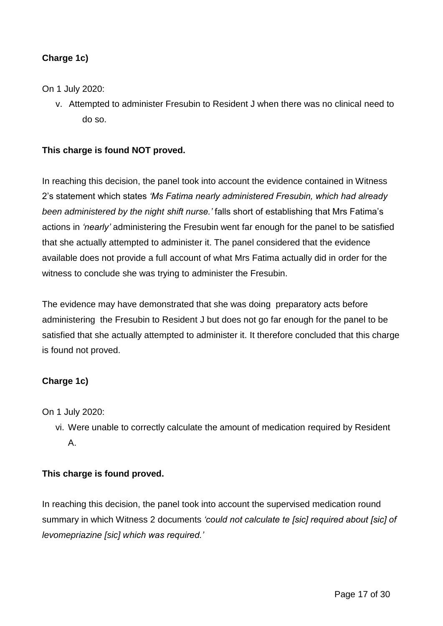## **Charge 1c)**

On 1 July 2020:

v. Attempted to administer Fresubin to Resident J when there was no clinical need to do so.

#### **This charge is found NOT proved.**

In reaching this decision, the panel took into account the evidence contained in Witness 2's statement which states *'Ms Fatima nearly administered Fresubin, which had already been administered by the night shift nurse.'* falls short of establishing that Mrs Fatima's actions in *'nearly'* administering the Fresubin went far enough for the panel to be satisfied that she actually attempted to administer it. The panel considered that the evidence available does not provide a full account of what Mrs Fatima actually did in order for the witness to conclude she was trying to administer the Fresubin.

The evidence may have demonstrated that she was doing preparatory acts before administering the Fresubin to Resident J but does not go far enough for the panel to be satisfied that she actually attempted to administer it. It therefore concluded that this charge is found not proved.

#### **Charge 1c)**

On 1 July 2020:

vi. Were unable to correctly calculate the amount of medication required by Resident A.

#### **This charge is found proved.**

In reaching this decision, the panel took into account the supervised medication round summary in which Witness 2 documents *'could not calculate te [sic] required about [sic] of levomepriazine [sic] which was required.'*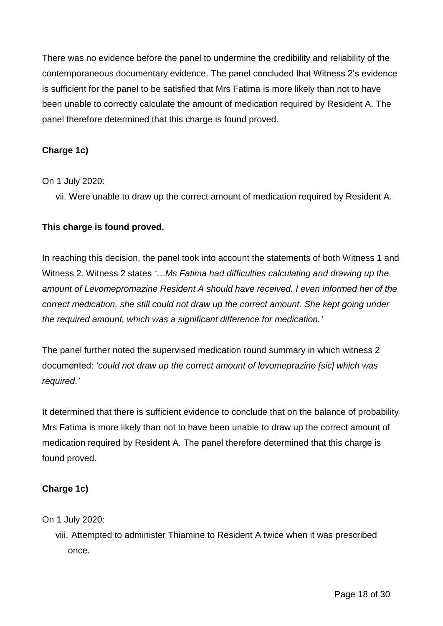There was no evidence before the panel to undermine the credibility and reliability of the contemporaneous documentary evidence. The panel concluded that Witness 2's evidence is sufficient for the panel to be satisfied that Mrs Fatima is more likely than not to have been unable to correctly calculate the amount of medication required by Resident A. The panel therefore determined that this charge is found proved.

## **Charge 1c)**

## On 1 July 2020:

vii. Were unable to draw up the correct amount of medication required by Resident A.

#### **This charge is found proved.**

In reaching this decision, the panel took into account the statements of both Witness 1 and Witness 2. Witness 2 states *'…Ms Fatima had difficulties calculating and drawing up the amount of Levomepromazine Resident A should have received. I even informed her of the correct medication, she still could not draw up the correct amount. She kept going under the required amount, which was a significant difference for medication.'*

The panel further noted the supervised medication round summary in which witness 2 documented: '*could not draw up the correct amount of levomeprazine [sic] which was required.'*

It determined that there is sufficient evidence to conclude that on the balance of probability Mrs Fatima is more likely than not to have been unable to draw up the correct amount of medication required by Resident A. The panel therefore determined that this charge is found proved.

## **Charge 1c)**

#### On 1 July 2020:

viii. Attempted to administer Thiamine to Resident A twice when it was prescribed once.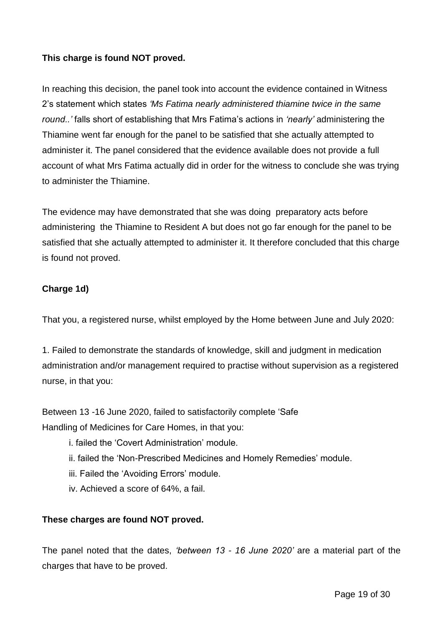## **This charge is found NOT proved.**

In reaching this decision, the panel took into account the evidence contained in Witness 2's statement which states *'Ms Fatima nearly administered thiamine twice in the same round..'* falls short of establishing that Mrs Fatima's actions in *'nearly'* administering the Thiamine went far enough for the panel to be satisfied that she actually attempted to administer it. The panel considered that the evidence available does not provide a full account of what Mrs Fatima actually did in order for the witness to conclude she was trying to administer the Thiamine.

The evidence may have demonstrated that she was doing preparatory acts before administering the Thiamine to Resident A but does not go far enough for the panel to be satisfied that she actually attempted to administer it. It therefore concluded that this charge is found not proved.

#### **Charge 1d)**

That you, a registered nurse, whilst employed by the Home between June and July 2020:

1. Failed to demonstrate the standards of knowledge, skill and judgment in medication administration and/or management required to practise without supervision as a registered nurse, in that you:

Between 13 -16 June 2020, failed to satisfactorily complete 'Safe Handling of Medicines for Care Homes, in that you:

- i. failed the 'Covert Administration' module.
- ii. failed the 'Non-Prescribed Medicines and Homely Remedies' module.
- iii. Failed the 'Avoiding Errors' module.
- iv. Achieved a score of 64%, a fail.

## **These charges are found NOT proved.**

The panel noted that the dates, *'between 13 - 16 June 2020'* are a material part of the charges that have to be proved.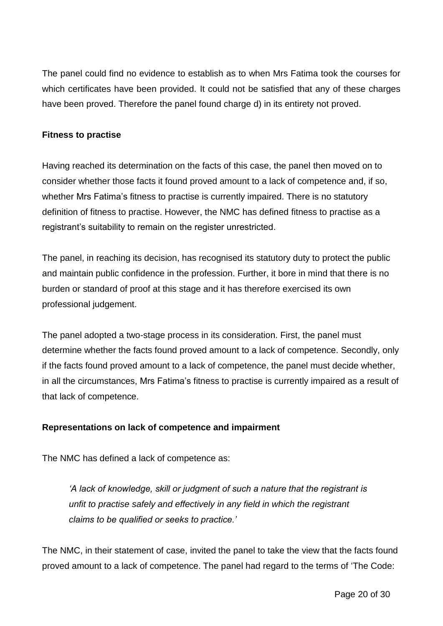The panel could find no evidence to establish as to when Mrs Fatima took the courses for which certificates have been provided. It could not be satisfied that any of these charges have been proved. Therefore the panel found charge d) in its entirety not proved.

#### **Fitness to practise**

Having reached its determination on the facts of this case, the panel then moved on to consider whether those facts it found proved amount to a lack of competence and, if so, whether Mrs Fatima's fitness to practise is currently impaired. There is no statutory definition of fitness to practise. However, the NMC has defined fitness to practise as a registrant's suitability to remain on the register unrestricted.

The panel, in reaching its decision, has recognised its statutory duty to protect the public and maintain public confidence in the profession. Further, it bore in mind that there is no burden or standard of proof at this stage and it has therefore exercised its own professional judgement.

The panel adopted a two-stage process in its consideration. First, the panel must determine whether the facts found proved amount to a lack of competence. Secondly, only if the facts found proved amount to a lack of competence, the panel must decide whether, in all the circumstances, Mrs Fatima's fitness to practise is currently impaired as a result of that lack of competence.

## **Representations on lack of competence and impairment**

The NMC has defined a lack of competence as:

*'A lack of knowledge, skill or judgment of such a nature that the registrant is unfit to practise safely and effectively in any field in which the registrant claims to be qualified or seeks to practice.'*

The NMC, in their statement of case, invited the panel to take the view that the facts found proved amount to a lack of competence. The panel had regard to the terms of 'The Code: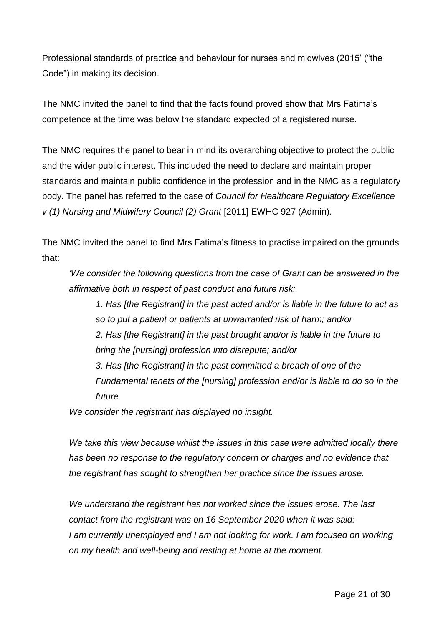Professional standards of practice and behaviour for nurses and midwives (2015' ("the Code") in making its decision.

The NMC invited the panel to find that the facts found proved show that Mrs Fatima's competence at the time was below the standard expected of a registered nurse.

The NMC requires the panel to bear in mind its overarching objective to protect the public and the wider public interest. This included the need to declare and maintain proper standards and maintain public confidence in the profession and in the NMC as a regulatory body. The panel has referred to the case of *Council for Healthcare Regulatory Excellence v (1) Nursing and Midwifery Council (2) Grant* [2011] EWHC 927 (Admin)*.*

The NMC invited the panel to find Mrs Fatima's fitness to practise impaired on the grounds that:

*'We consider the following questions from the case of Grant can be answered in the affirmative both in respect of past conduct and future risk:*

*1. Has [the Registrant] in the past acted and/or is liable in the future to act as so to put a patient or patients at unwarranted risk of harm; and/or 2. Has [the Registrant] in the past brought and/or is liable in the future to bring the [nursing] profession into disrepute; and/or 3. Has [the Registrant] in the past committed a breach of one of the Fundamental tenets of the [nursing] profession and/or is liable to do so in the future*

*We consider the registrant has displayed no insight.*

*We take this view because whilst the issues in this case were admitted locally there has been no response to the regulatory concern or charges and no evidence that the registrant has sought to strengthen her practice since the issues arose.*

*We understand the registrant has not worked since the issues arose. The last contact from the registrant was on 16 September 2020 when it was said: I am currently unemployed and I am not looking for work. I am focused on working on my health and well-being and resting at home at the moment.*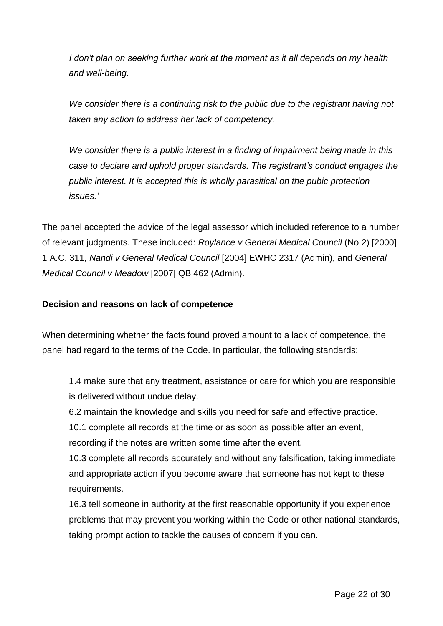*I don't plan on seeking further work at the moment as it all depends on my health and well-being.*

*We consider there is a continuing risk to the public due to the registrant having not taken any action to address her lack of competency.*

*We consider there is a public interest in a finding of impairment being made in this case to declare and uphold proper standards. The registrant's conduct engages the public interest. It is accepted this is wholly parasitical on the pubic protection issues.'*

The panel accepted the advice of the legal assessor which included reference to a number of relevant judgments. These included: *Roylance v General Medical Council* (No 2) [2000] 1 A.C. 311, *Nandi v General Medical Council* [2004] EWHC 2317 (Admin), and *General Medical Council v Meadow* [2007] QB 462 (Admin).

#### **Decision and reasons on lack of competence**

When determining whether the facts found proved amount to a lack of competence, the panel had regard to the terms of the Code. In particular, the following standards:

1.4 make sure that any treatment, assistance or care for which you are responsible is delivered without undue delay.

6.2 maintain the knowledge and skills you need for safe and effective practice.

10.1 complete all records at the time or as soon as possible after an event,

recording if the notes are written some time after the event.

10.3 complete all records accurately and without any falsification, taking immediate and appropriate action if you become aware that someone has not kept to these requirements.

16.3 tell someone in authority at the first reasonable opportunity if you experience problems that may prevent you working within the Code or other national standards, taking prompt action to tackle the causes of concern if you can.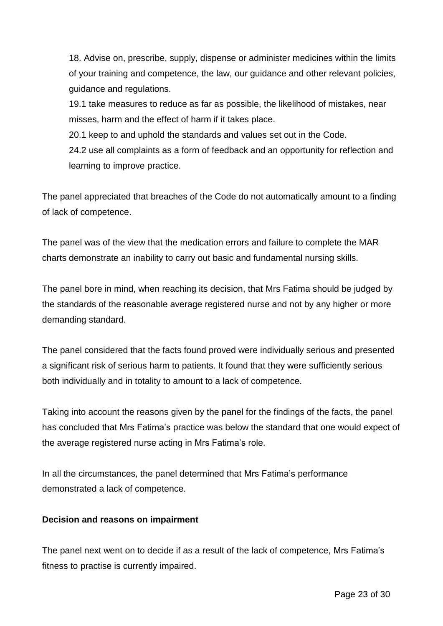18. Advise on, prescribe, supply, dispense or administer medicines within the limits of your training and competence, the law, our guidance and other relevant policies, guidance and regulations.

19.1 take measures to reduce as far as possible, the likelihood of mistakes, near misses, harm and the effect of harm if it takes place.

20.1 keep to and uphold the standards and values set out in the Code.

24.2 use all complaints as a form of feedback and an opportunity for reflection and learning to improve practice.

The panel appreciated that breaches of the Code do not automatically amount to a finding of lack of competence.

The panel was of the view that the medication errors and failure to complete the MAR charts demonstrate an inability to carry out basic and fundamental nursing skills.

The panel bore in mind, when reaching its decision, that Mrs Fatima should be judged by the standards of the reasonable average registered nurse and not by any higher or more demanding standard.

The panel considered that the facts found proved were individually serious and presented a significant risk of serious harm to patients. It found that they were sufficiently serious both individually and in totality to amount to a lack of competence.

Taking into account the reasons given by the panel for the findings of the facts, the panel has concluded that Mrs Fatima's practice was below the standard that one would expect of the average registered nurse acting in Mrs Fatima's role.

In all the circumstances, the panel determined that Mrs Fatima's performance demonstrated a lack of competence.

## **Decision and reasons on impairment**

The panel next went on to decide if as a result of the lack of competence, Mrs Fatima's fitness to practise is currently impaired.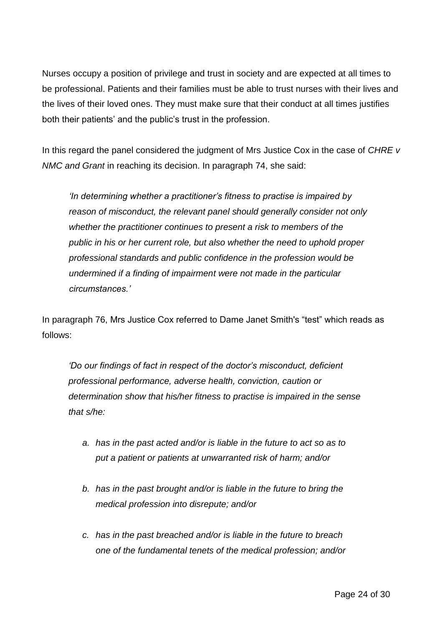Nurses occupy a position of privilege and trust in society and are expected at all times to be professional. Patients and their families must be able to trust nurses with their lives and the lives of their loved ones. They must make sure that their conduct at all times justifies both their patients' and the public's trust in the profession.

In this regard the panel considered the judgment of Mrs Justice Cox in the case of *CHRE v NMC and Grant* in reaching its decision. In paragraph 74, she said:

*'In determining whether a practitioner's fitness to practise is impaired by reason of misconduct, the relevant panel should generally consider not only whether the practitioner continues to present a risk to members of the public in his or her current role, but also whether the need to uphold proper professional standards and public confidence in the profession would be undermined if a finding of impairment were not made in the particular circumstances.'*

In paragraph 76, Mrs Justice Cox referred to Dame Janet Smith's "test" which reads as follows:

*'Do our findings of fact in respect of the doctor's misconduct, deficient professional performance, adverse health, conviction, caution or determination show that his/her fitness to practise is impaired in the sense that s/he:*

- *a. has in the past acted and/or is liable in the future to act so as to put a patient or patients at unwarranted risk of harm; and/or*
- *b. has in the past brought and/or is liable in the future to bring the medical profession into disrepute; and/or*
- *c. has in the past breached and/or is liable in the future to breach one of the fundamental tenets of the medical profession; and/or*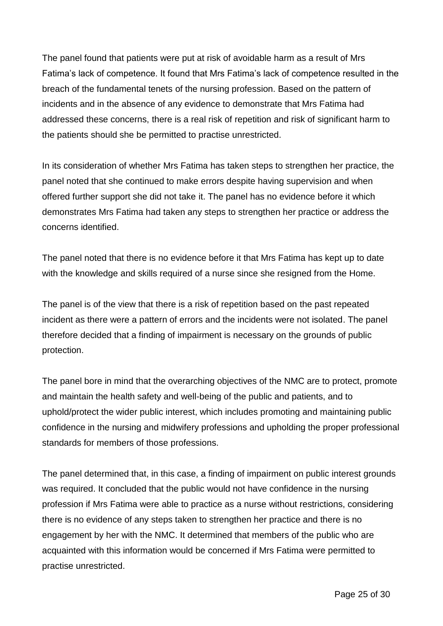The panel found that patients were put at risk of avoidable harm as a result of Mrs Fatima's lack of competence. It found that Mrs Fatima's lack of competence resulted in the breach of the fundamental tenets of the nursing profession. Based on the pattern of incidents and in the absence of any evidence to demonstrate that Mrs Fatima had addressed these concerns, there is a real risk of repetition and risk of significant harm to the patients should she be permitted to practise unrestricted.

In its consideration of whether Mrs Fatima has taken steps to strengthen her practice, the panel noted that she continued to make errors despite having supervision and when offered further support she did not take it. The panel has no evidence before it which demonstrates Mrs Fatima had taken any steps to strengthen her practice or address the concerns identified.

The panel noted that there is no evidence before it that Mrs Fatima has kept up to date with the knowledge and skills required of a nurse since she resigned from the Home.

The panel is of the view that there is a risk of repetition based on the past repeated incident as there were a pattern of errors and the incidents were not isolated. The panel therefore decided that a finding of impairment is necessary on the grounds of public protection.

The panel bore in mind that the overarching objectives of the NMC are to protect, promote and maintain the health safety and well-being of the public and patients, and to uphold/protect the wider public interest, which includes promoting and maintaining public confidence in the nursing and midwifery professions and upholding the proper professional standards for members of those professions.

The panel determined that, in this case, a finding of impairment on public interest grounds was required. It concluded that the public would not have confidence in the nursing profession if Mrs Fatima were able to practice as a nurse without restrictions, considering there is no evidence of any steps taken to strengthen her practice and there is no engagement by her with the NMC. It determined that members of the public who are acquainted with this information would be concerned if Mrs Fatima were permitted to practise unrestricted.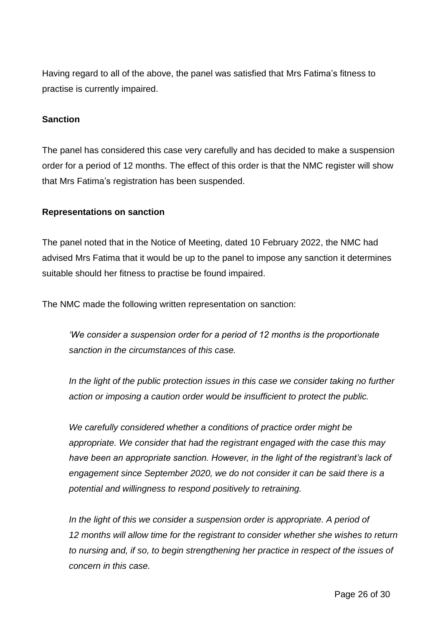Having regard to all of the above, the panel was satisfied that Mrs Fatima's fitness to practise is currently impaired.

#### **Sanction**

The panel has considered this case very carefully and has decided to make a suspension order for a period of 12 months. The effect of this order is that the NMC register will show that Mrs Fatima's registration has been suspended.

#### **Representations on sanction**

The panel noted that in the Notice of Meeting, dated 10 February 2022, the NMC had advised Mrs Fatima that it would be up to the panel to impose any sanction it determines suitable should her fitness to practise be found impaired.

The NMC made the following written representation on sanction:

*'We consider a suspension order for a period of 12 months is the proportionate sanction in the circumstances of this case.*

*In the light of the public protection issues in this case we consider taking no further action or imposing a caution order would be insufficient to protect the public.*

*We carefully considered whether a conditions of practice order might be appropriate. We consider that had the registrant engaged with the case this may have been an appropriate sanction. However, in the light of the registrant's lack of engagement since September 2020, we do not consider it can be said there is a potential and willingness to respond positively to retraining.*

*In the light of this we consider a suspension order is appropriate. A period of 12 months will allow time for the registrant to consider whether she wishes to return to nursing and, if so, to begin strengthening her practice in respect of the issues of concern in this case.*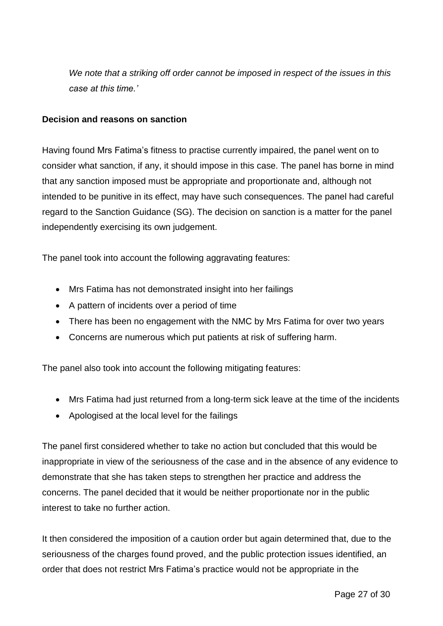*We note that a striking off order cannot be imposed in respect of the issues in this case at this time.'*

#### **Decision and reasons on sanction**

Having found Mrs Fatima's fitness to practise currently impaired, the panel went on to consider what sanction, if any, it should impose in this case. The panel has borne in mind that any sanction imposed must be appropriate and proportionate and, although not intended to be punitive in its effect, may have such consequences. The panel had careful regard to the Sanction Guidance (SG). The decision on sanction is a matter for the panel independently exercising its own judgement.

The panel took into account the following aggravating features:

- Mrs Fatima has not demonstrated insight into her failings
- A pattern of incidents over a period of time
- There has been no engagement with the NMC by Mrs Fatima for over two years
- Concerns are numerous which put patients at risk of suffering harm.

The panel also took into account the following mitigating features:

- Mrs Fatima had just returned from a long-term sick leave at the time of the incidents
- Apologised at the local level for the failings

The panel first considered whether to take no action but concluded that this would be inappropriate in view of the seriousness of the case and in the absence of any evidence to demonstrate that she has taken steps to strengthen her practice and address the concerns. The panel decided that it would be neither proportionate nor in the public interest to take no further action.

It then considered the imposition of a caution order but again determined that, due to the seriousness of the charges found proved, and the public protection issues identified, an order that does not restrict Mrs Fatima's practice would not be appropriate in the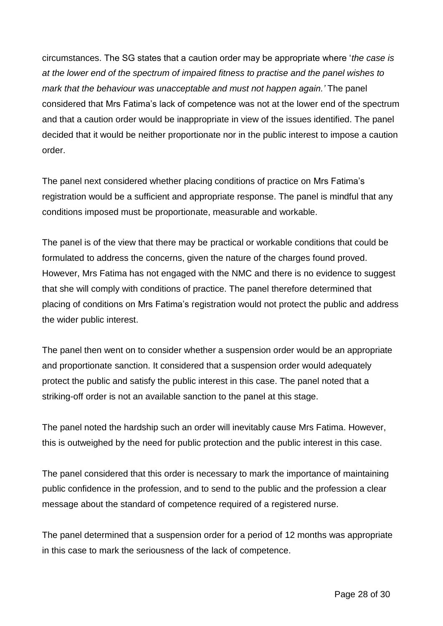circumstances. The SG states that a caution order may be appropriate where '*the case is at the lower end of the spectrum of impaired fitness to practise and the panel wishes to mark that the behaviour was unacceptable and must not happen again.'* The panel considered that Mrs Fatima's lack of competence was not at the lower end of the spectrum and that a caution order would be inappropriate in view of the issues identified. The panel decided that it would be neither proportionate nor in the public interest to impose a caution order.

The panel next considered whether placing conditions of practice on Mrs Fatima's registration would be a sufficient and appropriate response. The panel is mindful that any conditions imposed must be proportionate, measurable and workable.

The panel is of the view that there may be practical or workable conditions that could be formulated to address the concerns, given the nature of the charges found proved. However, Mrs Fatima has not engaged with the NMC and there is no evidence to suggest that she will comply with conditions of practice. The panel therefore determined that placing of conditions on Mrs Fatima's registration would not protect the public and address the wider public interest.

The panel then went on to consider whether a suspension order would be an appropriate and proportionate sanction. It considered that a suspension order would adequately protect the public and satisfy the public interest in this case. The panel noted that a striking-off order is not an available sanction to the panel at this stage.

The panel noted the hardship such an order will inevitably cause Mrs Fatima. However, this is outweighed by the need for public protection and the public interest in this case.

The panel considered that this order is necessary to mark the importance of maintaining public confidence in the profession, and to send to the public and the profession a clear message about the standard of competence required of a registered nurse.

The panel determined that a suspension order for a period of 12 months was appropriate in this case to mark the seriousness of the lack of competence.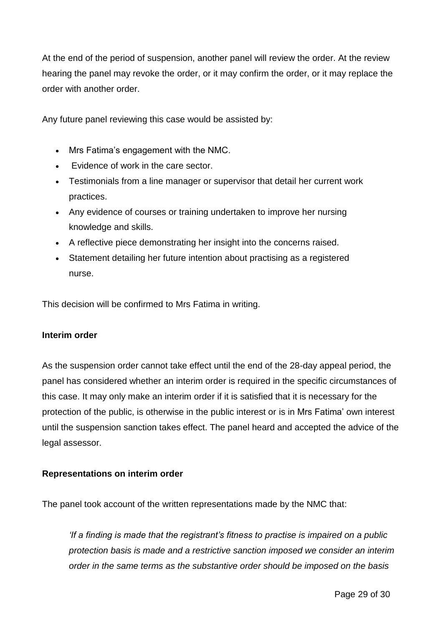At the end of the period of suspension, another panel will review the order. At the review hearing the panel may revoke the order, or it may confirm the order, or it may replace the order with another order.

Any future panel reviewing this case would be assisted by:

- Mrs Fatima's engagement with the NMC.
- Evidence of work in the care sector.
- Testimonials from a line manager or supervisor that detail her current work practices.
- Any evidence of courses or training undertaken to improve her nursing knowledge and skills.
- A reflective piece demonstrating her insight into the concerns raised.
- Statement detailing her future intention about practising as a registered nurse.

This decision will be confirmed to Mrs Fatima in writing.

#### **Interim order**

As the suspension order cannot take effect until the end of the 28-day appeal period, the panel has considered whether an interim order is required in the specific circumstances of this case. It may only make an interim order if it is satisfied that it is necessary for the protection of the public, is otherwise in the public interest or is in Mrs Fatima' own interest until the suspension sanction takes effect. The panel heard and accepted the advice of the legal assessor.

#### **Representations on interim order**

The panel took account of the written representations made by the NMC that:

*'If a finding is made that the registrant's fitness to practise is impaired on a public protection basis is made and a restrictive sanction imposed we consider an interim order in the same terms as the substantive order should be imposed on the basis*